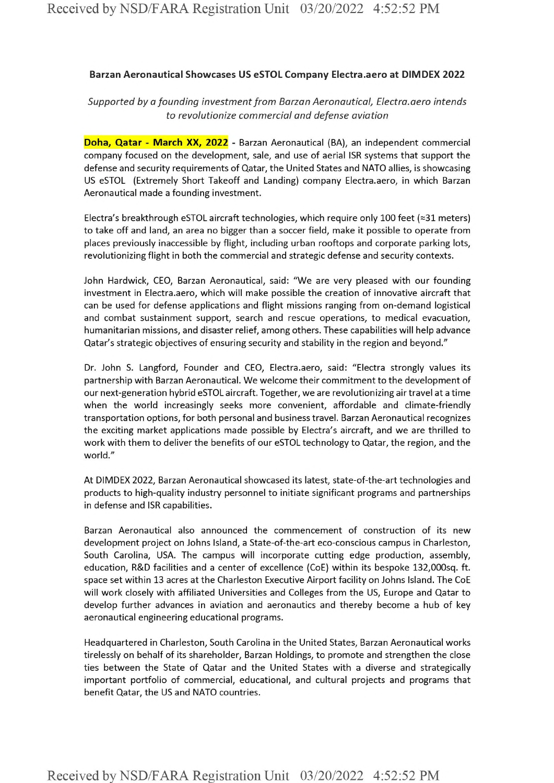## **Barzan Aeronautical Showcases US eSTOL Company Electra.aero at DIMDEX 2022**

## *Supported by a founding investmentfrom Barzon Aeronautical, Electra.aero intends to revolutionize commercial and defense aviation*

**Doha, Qatar - March XX, 2022** - Barzan Aeronautical (BA), an independent commercial company focused on the development, sale, and use of aerial ISR systems that support the defense and security requirements of Qatar, the United States and NATO allies, is showcasing US eSTOL (Extremely Short Takeoff and Landing) company Electra.aero, in which Barzan Aeronautical made a founding investment.

Electra's breakthrough eSTOL aircraft technologies, which require only 100 feet (~31 meters) to take off and land, an area no bigger than <sup>a</sup> soccer field, make it possible to operate from places previously inaccessible by flight, including urban rooftops and corporate parking lots, revolutionizing flight in both the commercial and strategic defense and security contexts.

John Hardwick, CEO, Barzan Aeronautical, said: "We are very pleased with our founding investment in Electra.aero, which will make possible the creation of innovative aircraft that can be used for defense applications and flight missions ranging from on-demand logistical and combat sustainment support, search and rescue operations, to medical evacuation, humanitarian missions, and disaster relief, among others. These capabilities will help advance Qatar's strategic objectives of ensuring security and stability in the region and beyond."

Dr. John S. Langford, Founder and CEO, Electra.aero, said: "Electra strongly values its partnership with Barzan Aeronautical. We welcome their commitment to the development of our next-generation hybrid eSTOL aircraft. Together, we are revolutionizing air travel at a time when the world increasingly seeks more convenient, affordable and climate-friendly transportation options, for both personal and business travel. Barzan Aeronautical recognizes the exciting market applications made possible by Electra's aircraft, and we are thrilled to work with them to deliver the benefits of our eSTOL technology to Qatar, the region, and the world."

At DIMDEX 2022, Barzan Aeronautical showcased its latest, state-of-the-art technologies and products to high-quality industry personnel to initiate significant programs and partnerships in defense and ISR capabilities.

Barzan Aeronautical also announced the commencement of construction of its new development project on Johns Island, a State-of-the-art eco-conscious campus in Charleston, South Carolina, USA. The campus will incorporate cutting edge production, assembly, education, R&D facilities and a center of excellence (CoE) within its bespoke 132,000sq. ft. space set within 13 acres at the Charleston Executive Airport facility on Johns Island. The CoE will work closely with affiliated Universities and Colleges from the US, Europe and Qatar to develop further advances in aviation and aeronautics and thereby become <sup>a</sup> hub of key aeronautical engineering educational programs.

Headquartered in Charleston, South Carolina in the United States, Barzan Aeronautical works tirelessly on behalf of its shareholder, Barzan Holdings, to promote and strengthen the close ties between the State of Qatar and the United States with a diverse and strategically important portfolio of commercial, educational, and cultural projects and programs that benefit Qatar, the US and NATO countries.